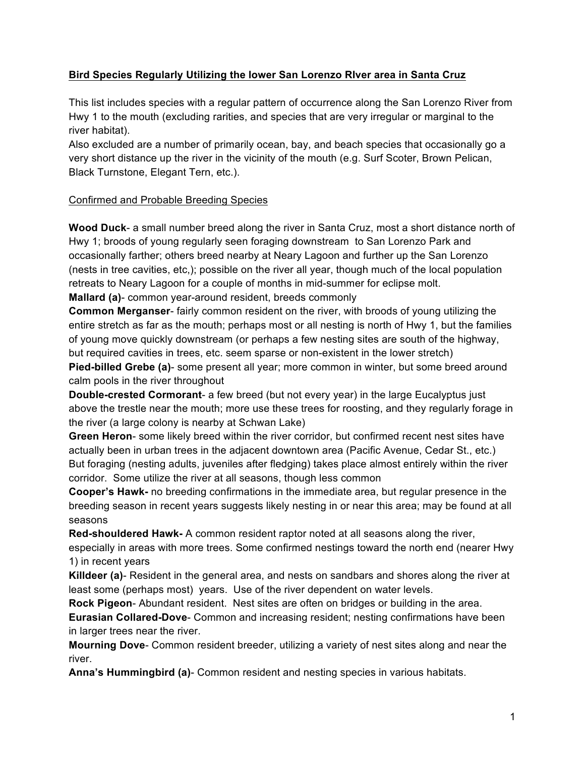## **Bird Species Regularly Utilizing the lower San Lorenzo RIver area in Santa Cruz**

This list includes species with a regular pattern of occurrence along the San Lorenzo River from Hwy 1 to the mouth (excluding rarities, and species that are very irregular or marginal to the river habitat).

Also excluded are a number of primarily ocean, bay, and beach species that occasionally go a very short distance up the river in the vicinity of the mouth (e.g. Surf Scoter, Brown Pelican, Black Turnstone, Elegant Tern, etc.).

## Confirmed and Probable Breeding Species

**Wood Duck**- a small number breed along the river in Santa Cruz, most a short distance north of Hwy 1; broods of young regularly seen foraging downstream to San Lorenzo Park and occasionally farther; others breed nearby at Neary Lagoon and further up the San Lorenzo (nests in tree cavities, etc,); possible on the river all year, though much of the local population retreats to Neary Lagoon for a couple of months in mid-summer for eclipse molt.

**Mallard (a)**- common year-around resident, breeds commonly

**Common Merganser**- fairly common resident on the river, with broods of young utilizing the entire stretch as far as the mouth; perhaps most or all nesting is north of Hwy 1, but the families of young move quickly downstream (or perhaps a few nesting sites are south of the highway, but required cavities in trees, etc. seem sparse or non-existent in the lower stretch)

**Pied-billed Grebe (a)**- some present all year; more common in winter, but some breed around calm pools in the river throughout

**Double-crested Cormorant**- a few breed (but not every year) in the large Eucalyptus just above the trestle near the mouth; more use these trees for roosting, and they regularly forage in the river (a large colony is nearby at Schwan Lake)

**Green Heron**- some likely breed within the river corridor, but confirmed recent nest sites have actually been in urban trees in the adjacent downtown area (Pacific Avenue, Cedar St., etc.) But foraging (nesting adults, juveniles after fledging) takes place almost entirely within the river corridor. Some utilize the river at all seasons, though less common

**Cooper's Hawk-** no breeding confirmations in the immediate area, but regular presence in the breeding season in recent years suggests likely nesting in or near this area; may be found at all seasons

**Red-shouldered Hawk-** A common resident raptor noted at all seasons along the river, especially in areas with more trees. Some confirmed nestings toward the north end (nearer Hwy 1) in recent years

**Killdeer (a)**- Resident in the general area, and nests on sandbars and shores along the river at least some (perhaps most) years. Use of the river dependent on water levels.

**Rock Pigeon**- Abundant resident. Nest sites are often on bridges or building in the area.

**Eurasian Collared-Dove**- Common and increasing resident; nesting confirmations have been in larger trees near the river.

**Mourning Dove**- Common resident breeder, utilizing a variety of nest sites along and near the river.

**Anna's Hummingbird (a)**- Common resident and nesting species in various habitats.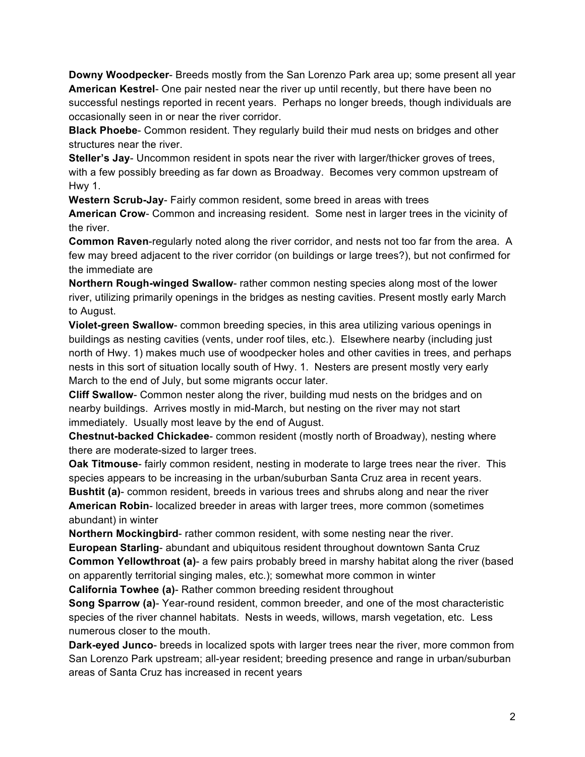**Downy Woodpecker**- Breeds mostly from the San Lorenzo Park area up; some present all year **American Kestrel**- One pair nested near the river up until recently, but there have been no successful nestings reported in recent years. Perhaps no longer breeds, though individuals are occasionally seen in or near the river corridor.

**Black Phoebe**- Common resident. They regularly build their mud nests on bridges and other structures near the river.

**Steller's Jay**- Uncommon resident in spots near the river with larger/thicker groves of trees, with a few possibly breeding as far down as Broadway. Becomes very common upstream of Hwy 1.

**Western Scrub-Jay**- Fairly common resident, some breed in areas with trees

**American Crow**- Common and increasing resident. Some nest in larger trees in the vicinity of the river.

**Common Raven**-regularly noted along the river corridor, and nests not too far from the area. A few may breed adjacent to the river corridor (on buildings or large trees?), but not confirmed for the immediate are

**Northern Rough-winged Swallow**- rather common nesting species along most of the lower river, utilizing primarily openings in the bridges as nesting cavities. Present mostly early March to August.

**Violet-green Swallow**- common breeding species, in this area utilizing various openings in buildings as nesting cavities (vents, under roof tiles, etc.). Elsewhere nearby (including just north of Hwy. 1) makes much use of woodpecker holes and other cavities in trees, and perhaps nests in this sort of situation locally south of Hwy. 1. Nesters are present mostly very early March to the end of July, but some migrants occur later.

**Cliff Swallow**- Common nester along the river, building mud nests on the bridges and on nearby buildings. Arrives mostly in mid-March, but nesting on the river may not start immediately. Usually most leave by the end of August.

**Chestnut-backed Chickadee**- common resident (mostly north of Broadway), nesting where there are moderate-sized to larger trees.

**Oak Titmouse**- fairly common resident, nesting in moderate to large trees near the river. This species appears to be increasing in the urban/suburban Santa Cruz area in recent years. **Bushtit (a)**- common resident, breeds in various trees and shrubs along and near the river **American Robin**- localized breeder in areas with larger trees, more common (sometimes abundant) in winter

**Northern Mockingbird**- rather common resident, with some nesting near the river. **European Starling**- abundant and ubiquitous resident throughout downtown Santa Cruz **Common Yellowthroat (a)**- a few pairs probably breed in marshy habitat along the river (based on apparently territorial singing males, etc.); somewhat more common in winter **California Towhee (a)**- Rather common breeding resident throughout

**Song Sparrow (a)**- Year-round resident, common breeder, and one of the most characteristic species of the river channel habitats. Nests in weeds, willows, marsh vegetation, etc. Less numerous closer to the mouth.

**Dark-eyed Junco**- breeds in localized spots with larger trees near the river, more common from San Lorenzo Park upstream; all-year resident; breeding presence and range in urban/suburban areas of Santa Cruz has increased in recent years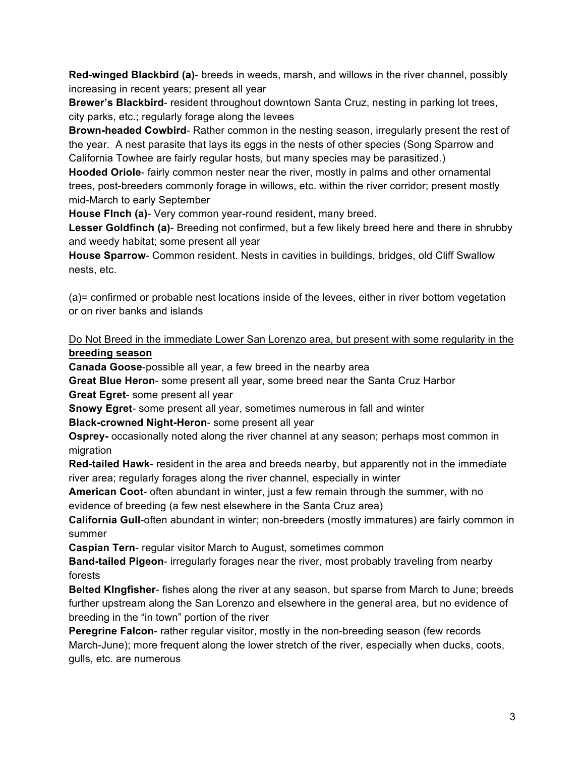**Red-winged Blackbird (a)**- breeds in weeds, marsh, and willows in the river channel, possibly increasing in recent years; present all year

**Brewer's Blackbird**- resident throughout downtown Santa Cruz, nesting in parking lot trees, city parks, etc.; regularly forage along the levees

**Brown-headed Cowbird**- Rather common in the nesting season, irregularly present the rest of the year. A nest parasite that lays its eggs in the nests of other species (Song Sparrow and California Towhee are fairly regular hosts, but many species may be parasitized.)

**Hooded Oriole**- fairly common nester near the river, mostly in palms and other ornamental trees, post-breeders commonly forage in willows, etc. within the river corridor; present mostly mid-March to early September

**House FInch (a)**- Very common year-round resident, many breed.

**Lesser Goldfinch (a)**- Breeding not confirmed, but a few likely breed here and there in shrubby and weedy habitat; some present all year

**House Sparrow**- Common resident. Nests in cavities in buildings, bridges, old Cliff Swallow nests, etc.

(a)= confirmed or probable nest locations inside of the levees, either in river bottom vegetation or on river banks and islands

## Do Not Breed in the immediate Lower San Lorenzo area, but present with some regularity in the **breeding season**

**Canada Goose**-possible all year, a few breed in the nearby area

**Great Blue Heron**- some present all year, some breed near the Santa Cruz Harbor **Great Egret**- some present all year

**Snowy Egret**- some present all year, sometimes numerous in fall and winter

**Black-crowned Night-Heron**- some present all year

**Osprey-** occasionally noted along the river channel at any season; perhaps most common in migration

**Red-tailed Hawk**- resident in the area and breeds nearby, but apparently not in the immediate river area; regularly forages along the river channel, especially in winter

**American Coot**- often abundant in winter, just a few remain through the summer, with no evidence of breeding (a few nest elsewhere in the Santa Cruz area)

**California Gull**-often abundant in winter; non-breeders (mostly immatures) are fairly common in summer

**Caspian Tern**- regular visitor March to August, sometimes common

**Band-tailed Pigeon**- irregularly forages near the river, most probably traveling from nearby forests

**Belted KIngfisher**- fishes along the river at any season, but sparse from March to June; breeds further upstream along the San Lorenzo and elsewhere in the general area, but no evidence of breeding in the "in town" portion of the river

**Peregrine Falcon**- rather regular visitor, mostly in the non-breeding season (few records March-June); more frequent along the lower stretch of the river, especially when ducks, coots, gulls, etc. are numerous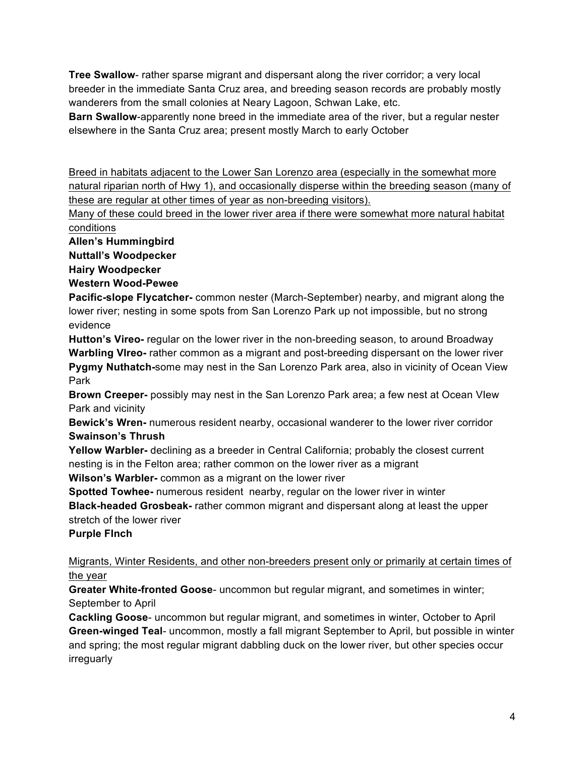**Tree Swallow**- rather sparse migrant and dispersant along the river corridor; a very local breeder in the immediate Santa Cruz area, and breeding season records are probably mostly wanderers from the small colonies at Neary Lagoon, Schwan Lake, etc.

**Barn Swallow**-apparently none breed in the immediate area of the river, but a regular nester elsewhere in the Santa Cruz area; present mostly March to early October

Breed in habitats adjacent to the Lower San Lorenzo area (especially in the somewhat more natural riparian north of Hwy 1), and occasionally disperse within the breeding season (many of these are regular at other times of year as non-breeding visitors).

Many of these could breed in the lower river area if there were somewhat more natural habitat conditions

**Allen's Hummingbird**

**Nuttall's Woodpecker**

**Hairy Woodpecker**

**Western Wood-Pewee**

**Pacific-slope Flycatcher-** common nester (March-September) nearby, and migrant along the lower river; nesting in some spots from San Lorenzo Park up not impossible, but no strong evidence

**Hutton's Vireo-** regular on the lower river in the non-breeding season, to around Broadway **Warbling VIreo-** rather common as a migrant and post-breeding dispersant on the lower river **Pygmy Nuthatch-**some may nest in the San Lorenzo Park area, also in vicinity of Ocean View Park

**Brown Creeper-** possibly may nest in the San Lorenzo Park area; a few nest at Ocean VIew Park and vicinity

**Bewick's Wren-** numerous resident nearby, occasional wanderer to the lower river corridor **Swainson's Thrush**

**Yellow Warbler-** declining as a breeder in Central California; probably the closest current nesting is in the Felton area; rather common on the lower river as a migrant

**Wilson's Warbler-** common as a migrant on the lower river

**Spotted Towhee-** numerous resident nearby, regular on the lower river in winter

**Black-headed Grosbeak-** rather common migrant and dispersant along at least the upper stretch of the lower river

**Purple FInch**

Migrants, Winter Residents, and other non-breeders present only or primarily at certain times of the year

**Greater White-fronted Goose**- uncommon but regular migrant, and sometimes in winter; September to April

**Cackling Goose**- uncommon but regular migrant, and sometimes in winter, October to April **Green-winged Teal**- uncommon, mostly a fall migrant September to April, but possible in winter and spring; the most regular migrant dabbling duck on the lower river, but other species occur irreguarly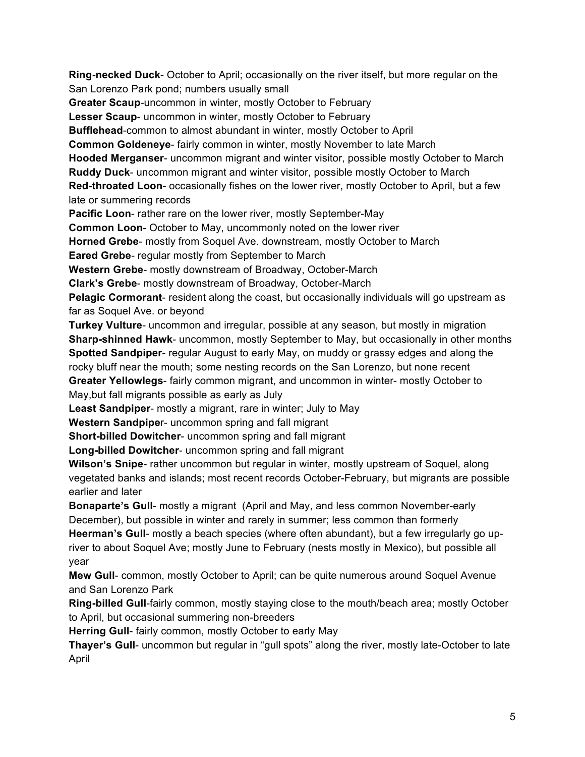**Ring-necked Duck**- October to April; occasionally on the river itself, but more regular on the San Lorenzo Park pond; numbers usually small **Greater Scaup**-uncommon in winter, mostly October to February **Lesser Scaup**- uncommon in winter, mostly October to February **Bufflehead**-common to almost abundant in winter, mostly October to April **Common Goldeneye**- fairly common in winter, mostly November to late March **Hooded Merganser**- uncommon migrant and winter visitor, possible mostly October to March **Ruddy Duck**- uncommon migrant and winter visitor, possible mostly October to March **Red-throated Loon**- occasionally fishes on the lower river, mostly October to April, but a few late or summering records **Pacific Loon**- rather rare on the lower river, mostly September-May **Common Loon**- October to May, uncommonly noted on the lower river **Horned Grebe**- mostly from Soquel Ave. downstream, mostly October to March **Eared Grebe**- regular mostly from September to March **Western Grebe**- mostly downstream of Broadway, October-March **Clark's Grebe**- mostly downstream of Broadway, October-March **Pelagic Cormorant**- resident along the coast, but occasionally individuals will go upstream as far as Soquel Ave. or beyond **Turkey Vulture**- uncommon and irregular, possible at any season, but mostly in migration **Sharp-shinned Hawk**- uncommon, mostly September to May, but occasionally in other months **Spotted Sandpiper**- regular August to early May, on muddy or grassy edges and along the rocky bluff near the mouth; some nesting records on the San Lorenzo, but none recent **Greater Yellowlegs**- fairly common migrant, and uncommon in winter- mostly October to May,but fall migrants possible as early as July **Least Sandpiper**- mostly a migrant, rare in winter; July to May **Western Sandpipe**r- uncommon spring and fall migrant **Short-billed Dowitcher**- uncommon spring and fall migrant **Long-billed Dowitcher**- uncommon spring and fall migrant **Wilson's Snipe**- rather uncommon but regular in winter, mostly upstream of Soquel, along vegetated banks and islands; most recent records October-February, but migrants are possible earlier and later **Bonaparte's Gull**- mostly a migrant (April and May, and less common November-early December), but possible in winter and rarely in summer; less common than formerly **Heerman's Gull**- mostly a beach species (where often abundant), but a few irregularly go upriver to about Soquel Ave; mostly June to February (nests mostly in Mexico), but possible all year **Mew Gull**- common, mostly October to April; can be quite numerous around Soquel Avenue and San Lorenzo Park

**Ring-billed Gull**-fairly common, mostly staying close to the mouth/beach area; mostly October to April, but occasional summering non-breeders

**Herring Gull**- fairly common, mostly October to early May

**Thayer's Gull**- uncommon but regular in "gull spots" along the river, mostly late-October to late April